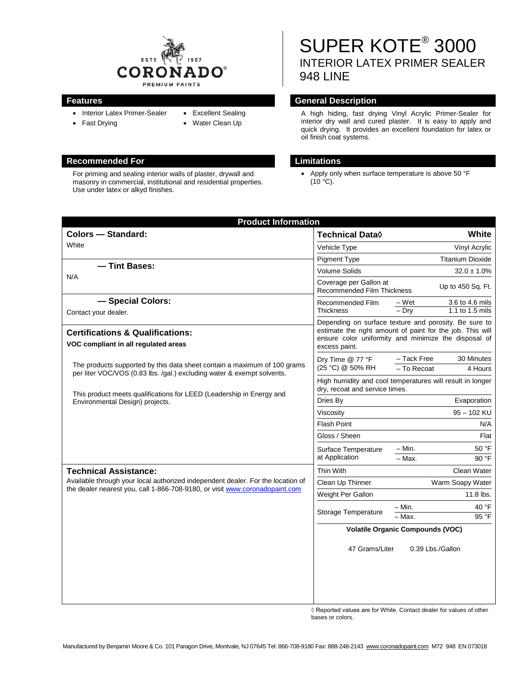

- Interior Latex Primer-Sealer
- Fast Drying
- Excellent Sealing • Water Clean Up
- **Recommended For Limitations**

For priming and sealing interior walls of plaster, drywall and masonry in commercial, institutional and residential properties. Use under latex or alkyd finishes.

SUPER KOTE® 3000 INTERIOR LATEX PRIMER SEALER 948 LINE

## **Features General Description**

A high hiding, fast drying Vinyl Acrylic Primer-Sealer for interior dry wall and cured plaster. It is easy to apply and quick drying. It provides an excellent foundation for latex or oil finish coat systems.

• Apply only when surface temperature is above 50 °F  $(10 °C)$ .

| <b>Product Information</b>                                                                                                                                     |                                                                                                                                                                                             |                                                     |
|----------------------------------------------------------------------------------------------------------------------------------------------------------------|---------------------------------------------------------------------------------------------------------------------------------------------------------------------------------------------|-----------------------------------------------------|
| <b>Colors - Standard:</b>                                                                                                                                      | <b>Technical Data</b> ♦                                                                                                                                                                     | White                                               |
| White                                                                                                                                                          | Vehicle Type                                                                                                                                                                                | Vinyl Acrylic                                       |
|                                                                                                                                                                | <b>Pigment Type</b>                                                                                                                                                                         | <b>Titanium Dioxide</b>                             |
| - Tint Bases:                                                                                                                                                  | <b>Volume Solids</b>                                                                                                                                                                        | $32.0 \pm 1.0\%$                                    |
| N/A                                                                                                                                                            | Coverage per Gallon at<br>Recommended Film Thickness                                                                                                                                        | Up to 450 Sq. Ft.                                   |
| - Special Colors:                                                                                                                                              | Recommended Film                                                                                                                                                                            | – Wet<br>3.6 to 4.6 mils                            |
| Contact your dealer.                                                                                                                                           | Thickness                                                                                                                                                                                   | $-$ Dry<br>1.1 to 1.5 mils                          |
| <b>Certifications &amp; Qualifications:</b><br>VOC compliant in all regulated areas                                                                            | Depending on surface texture and porosity. Be sure to<br>estimate the right amount of paint for the job. This will<br>ensure color uniformity and minimize the disposal of<br>excess paint. |                                                     |
| The products supported by this data sheet contain a maximum of 100 grams<br>per liter VOC/VOS (0.83 lbs./gal.) excluding water & exempt solvents.              | Dry Time @ 77 °F<br>(25 °C) @ 50% RH                                                                                                                                                        | - Tack Free<br>30 Minutes<br>- To Recoat<br>4 Hours |
| This product meets qualifications for LEED (Leadership in Energy and                                                                                           | High humidity and cool temperatures will result in longer<br>dry, recoat and service times.                                                                                                 |                                                     |
| Environmental Design) projects.                                                                                                                                | Dries By                                                                                                                                                                                    | Evaporation                                         |
|                                                                                                                                                                | Viscosity                                                                                                                                                                                   | 95 - 102 KU                                         |
|                                                                                                                                                                | <b>Flash Point</b>                                                                                                                                                                          | N/A                                                 |
|                                                                                                                                                                | Gloss / Sheen                                                                                                                                                                               | Flat                                                |
|                                                                                                                                                                | Surface Temperature<br>at Application                                                                                                                                                       | - Min.<br>50 °F                                     |
|                                                                                                                                                                |                                                                                                                                                                                             | $-$ Max.<br>90 °F                                   |
| <b>Technical Assistance:</b>                                                                                                                                   | Thin With                                                                                                                                                                                   | Clean Water                                         |
| Available through your local authorized independent dealer. For the location of<br>the dealer nearest you, call 1-866-708-9180, or visit www.coronadopaint.com | Clean Up Thinner                                                                                                                                                                            | Warm Soapy Water                                    |
|                                                                                                                                                                | Weight Per Gallon                                                                                                                                                                           | 11.8 lbs.                                           |
|                                                                                                                                                                | Storage Temperature                                                                                                                                                                         | 40 °F<br>– Min.                                     |
|                                                                                                                                                                |                                                                                                                                                                                             | 95 °F<br>- Max.                                     |
|                                                                                                                                                                | <b>Volatile Organic Compounds (VOC)</b>                                                                                                                                                     |                                                     |
|                                                                                                                                                                | 47 Grams/Liter                                                                                                                                                                              | 0.39 Lbs./Gallon                                    |
|                                                                                                                                                                |                                                                                                                                                                                             |                                                     |

 $\Diamond$  Reported values are for White. Contact dealer for values of other bases or colors.